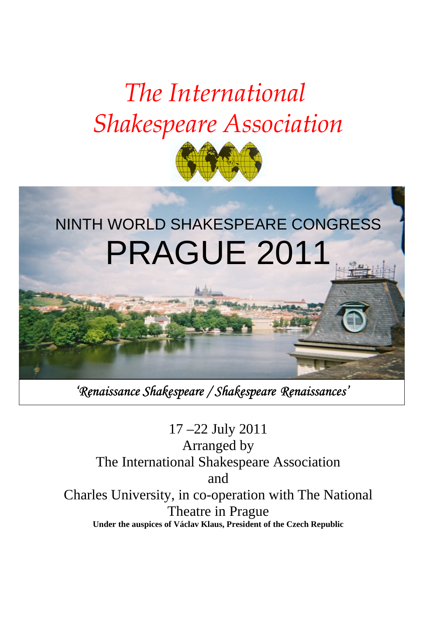# The International Shakespeare Association



# NINTH WORLD SHAKESPEARE CONGRESS PRAGUE 2011

'Renaissance Shakespeare / Shakespeare Renaissances'

17 –22 July 2011 Arranged by The International Shakespeare Association and Charles University, in co-operation with The National Theatre in Prague **Under the auspices of Václav Klaus, President of the Czech Republic**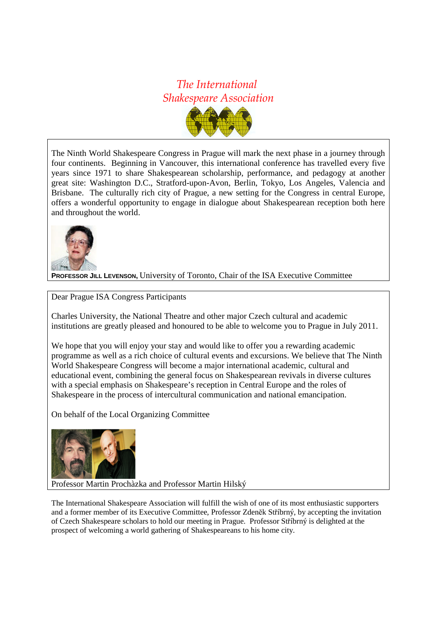### The International Shakespeare Association



The Ninth World Shakespeare Congress in Prague will mark the next phase in a journey through four continents. Beginning in Vancouver, this international conference has travelled every five years since 1971 to share Shakespearean scholarship, performance, and pedagogy at another great site: Washington D.C., Stratford-upon-Avon, Berlin, Tokyo, Los Angeles, Valencia and Brisbane. The culturally rich city of Prague, a new setting for the Congress in central Europe, offers a wonderful opportunity to engage in dialogue about Shakespearean reception both here and throughout the world.



**PROFESSOR JILL LEVENSON,** University of Toronto, Chair of the ISA Executive Committee

Dear Prague ISA Congress Participants

Charles University, the National Theatre and other major Czech cultural and academic institutions are greatly pleased and honoured to be able to welcome you to Prague in July 2011.

We hope that you will enjoy your stay and would like to offer you a rewarding academic programme as well as a rich choice of cultural events and excursions. We believe that The Ninth World Shakespeare Congress will become a major international academic, cultural and educational event, combining the general focus on Shakespearean revivals in diverse cultures with a special emphasis on Shakespeare's reception in Central Europe and the roles of Shakespeare in the process of intercultural communication and national emancipation.

On behalf of the Local Organizing Committee



Professor Martin Prochàzka and Professor Martin Hilský

The International Shakespeare Association will fulfill the wish of one of its most enthusiastic supporters and a former member of its Executive Committee, Professor Zdenĕk Stříbrný, by accepting the invitation of Czech Shakespeare scholars to hold our meeting in Prague. Professor Stříbrný is delighted at the prospect of welcoming a world gathering of Shakespeareans to his home city.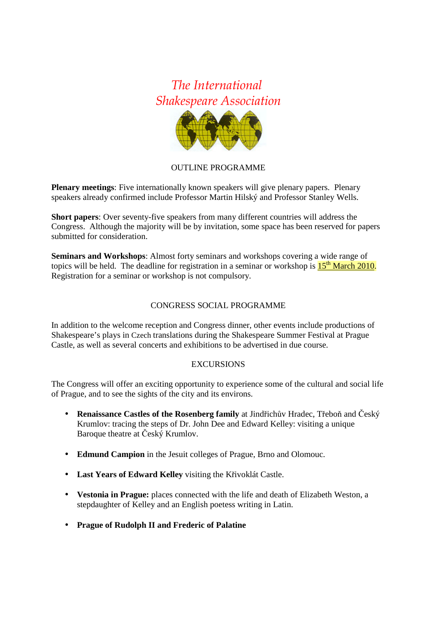## The International Shakespeare Association



#### OUTLINE PROGRAMME

**Plenary meetings**: Five internationally known speakers will give plenary papers. Plenary speakers already confirmed include Professor Martin Hilský and Professor Stanley Wells.

**Short papers**: Over seventy-five speakers from many different countries will address the Congress. Although the majority will be by invitation, some space has been reserved for papers submitted for consideration.

**Seminars and Workshops**: Almost forty seminars and workshops covering a wide range of topics will be held. The deadline for registration in a seminar or workshop is  $15<sup>th</sup>$  March 2010. Registration for a seminar or workshop is not compulsory.

#### CONGRESS SOCIAL PROGRAMME

In addition to the welcome reception and Congress dinner, other events include productions of Shakespeare's plays in Czech translations during the Shakespeare Summer Festival at Prague Castle, as well as several concerts and exhibitions to be advertised in due course.

#### EXCURSIONS

The Congress will offer an exciting opportunity to experience some of the cultural and social life of Prague, and to see the sights of the city and its environs.

- **Renaissance Castles of the Rosenberg family** at Jindřichův Hradec, Třeboň and Český Krumlov: tracing the steps of Dr. John Dee and Edward Kelley: visiting a unique Baroque theatre at Český Krumlov.
- **Edmund Campion** in the Jesuit colleges of Prague, Brno and Olomouc.
- **Last Years of Edward Kelley** visiting the Křivoklát Castle.
- **Vestonia in Prague:** places connected with the life and death of Elizabeth Weston, a stepdaughter of Kelley and an English poetess writing in Latin.
- **Prague of Rudolph II and Frederic of Palatine**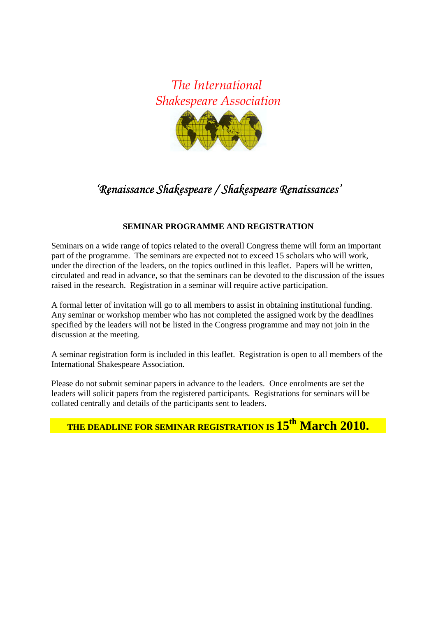

## 'Renaissance Shakespeare / Shakespeare Renaissances'

#### **SEMINAR PROGRAMME AND REGISTRATION**

Seminars on a wide range of topics related to the overall Congress theme will form an important part of the programme. The seminars are expected not to exceed 15 scholars who will work, under the direction of the leaders, on the topics outlined in this leaflet. Papers will be written, circulated and read in advance, so that the seminars can be devoted to the discussion of the issues raised in the research. Registration in a seminar will require active participation.

A formal letter of invitation will go to all members to assist in obtaining institutional funding. Any seminar or workshop member who has not completed the assigned work by the deadlines specified by the leaders will not be listed in the Congress programme and may not join in the discussion at the meeting.

A seminar registration form is included in this leaflet. Registration is open to all members of the International Shakespeare Association.

Please do not submit seminar papers in advance to the leaders. Once enrolments are set the leaders will solicit papers from the registered participants. Registrations for seminars will be collated centrally and details of the participants sent to leaders.

# **THE DEADLINE FOR SEMINAR REGISTRATION IS 15th March 2010.**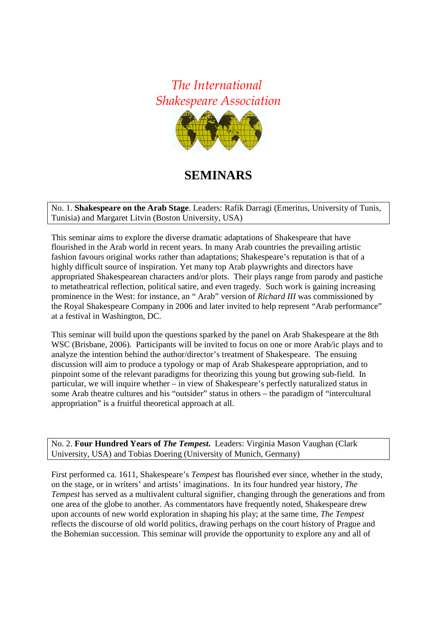

## **SEMINARS**

No. 1. **Shakespeare on the Arab Stage**. Leaders: Rafik Darragi (Emeritus, University of Tunis, Tunisia) and Margaret Litvin (Boston University, USA)

This seminar aims to explore the diverse dramatic adaptations of Shakespeare that have flourished in the Arab world in recent years. In many Arab countries the prevailing artistic fashion favours original works rather than adaptations; Shakespeare's reputation is that of a highly difficult source of inspiration. Yet many top Arab playwrights and directors have appropriated Shakespearean characters and/or plots. Their plays range from parody and pastiche to metatheatrical reflection, political satire, and even tragedy. Such work is gaining increasing prominence in the West: for instance, an " Arab" version of *Richard III* was commissioned by the Royal Shakespeare Company in 2006 and later invited to help represent "Arab performance" at a festival in Washington, DC.

This seminar will build upon the questions sparked by the panel on Arab Shakespeare at the 8th WSC (Brisbane, 2006). Participants will be invited to focus on one or more Arab/ic plays and to analyze the intention behind the author/director's treatment of Shakespeare. The ensuing discussion will aim to produce a typology or map of Arab Shakespeare appropriation, and to pinpoint some of the relevant paradigms for theorizing this young but growing sub-field. In particular, we will inquire whether – in view of Shakespeare's perfectly naturalized status in some Arab theatre cultures and his "outsider" status in others – the paradigm of "intercultural appropriation" is a fruitful theoretical approach at all.

No. 2. **Four Hundred Years of** *The Tempest***.** Leaders: Virginia Mason Vaughan (Clark University, USA) and Tobias Doering (University of Munich, Germany)

First performed ca. 1611, Shakespeare's *Tempest* has flourished ever since, whether in the study, on the stage, or in writers' and artists' imaginations. In its four hundred year history, *The Tempest* has served as a multivalent cultural signifier, changing through the generations and from one area of the globe to another. As commentators have frequently noted, Shakespeare drew upon accounts of new world exploration in shaping his play; at the same time, *The Tempest*  reflects the discourse of old world politics, drawing perhaps on the court history of Prague and the Bohemian succession. This seminar will provide the opportunity to explore any and all of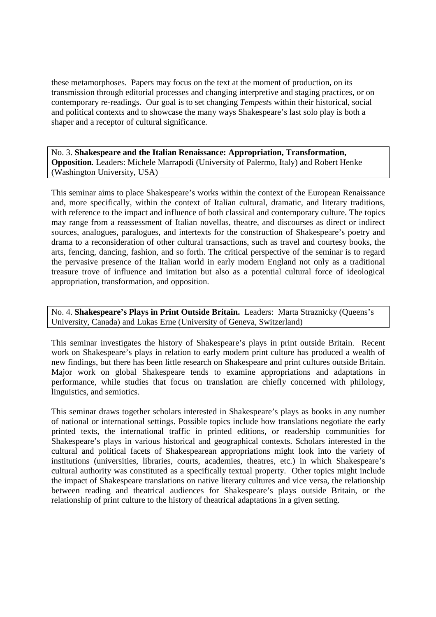these metamorphoses. Papers may focus on the text at the moment of production, on its transmission through editorial processes and changing interpretive and staging practices, or on contemporary re-readings. Our goal is to set changing *Tempest*s within their historical, social and political contexts and to showcase the many ways Shakespeare's last solo play is both a shaper and a receptor of cultural significance.

No. 3. **Shakespeare and the Italian Renaissance: Appropriation, Transformation, Opposition***.* Leaders: Michele Marrapodi (University of Palermo, Italy) and Robert Henke (Washington University, USA)

This seminar aims to place Shakespeare's works within the context of the European Renaissance and, more specifically, within the context of Italian cultural, dramatic, and literary traditions, with reference to the impact and influence of both classical and contemporary culture. The topics may range from a reassessment of Italian novellas, theatre, and discourses as direct or indirect sources, analogues, paralogues, and intertexts for the construction of Shakespeare's poetry and drama to a reconsideration of other cultural transactions, such as travel and courtesy books, the arts, fencing, dancing, fashion, and so forth. The critical perspective of the seminar is to regard the pervasive presence of the Italian world in early modern England not only as a traditional treasure trove of influence and imitation but also as a potential cultural force of ideological appropriation, transformation, and opposition.

No. 4. **Shakespeare's Plays in Print Outside Britain.** Leaders: Marta Straznicky (Queens's University, Canada) and Lukas Erne (University of Geneva, Switzerland)

This seminar investigates the history of Shakespeare's plays in print outside Britain. Recent work on Shakespeare's plays in relation to early modern print culture has produced a wealth of new findings, but there has been little research on Shakespeare and print cultures outside Britain. Major work on global Shakespeare tends to examine appropriations and adaptations in performance, while studies that focus on translation are chiefly concerned with philology, linguistics, and semiotics.

This seminar draws together scholars interested in Shakespeare's plays as books in any number of national or international settings. Possible topics include how translations negotiate the early printed texts, the international traffic in printed editions, or readership communities for Shakespeare's plays in various historical and geographical contexts. Scholars interested in the cultural and political facets of Shakespearean appropriations might look into the variety of institutions (universities, libraries, courts, academies, theatres, etc.) in which Shakespeare's cultural authority was constituted as a specifically textual property. Other topics might include the impact of Shakespeare translations on native literary cultures and vice versa, the relationship between reading and theatrical audiences for Shakespeare's plays outside Britain, or the relationship of print culture to the history of theatrical adaptations in a given setting.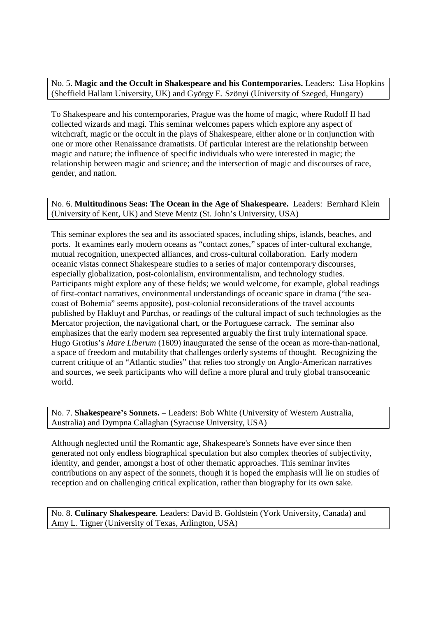No. 5. **Magic and the Occult in Shakespeare and his Contemporaries.** Leaders: Lisa Hopkins (Sheffield Hallam University, UK) and György E. Szönyi (University of Szeged, Hungary)

To Shakespeare and his contemporaries, Prague was the home of magic, where Rudolf II had collected wizards and magi. This seminar welcomes papers which explore any aspect of witchcraft, magic or the occult in the plays of Shakespeare, either alone or in conjunction with one or more other Renaissance dramatists. Of particular interest are the relationship between magic and nature; the influence of specific individuals who were interested in magic; the relationship between magic and science; and the intersection of magic and discourses of race, gender, and nation.

No. 6. **Multitudinous Seas: The Ocean in the Age of Shakespeare.** Leaders: Bernhard Klein (University of Kent, UK) and Steve Mentz (St. John's University, USA)

This seminar explores the sea and its associated spaces, including ships, islands, beaches, and ports. It examines early modern oceans as "contact zones," spaces of inter-cultural exchange, mutual recognition, unexpected alliances, and cross-cultural collaboration. Early modern oceanic vistas connect Shakespeare studies to a series of major contemporary discourses, especially globalization, post-colonialism, environmentalism, and technology studies. Participants might explore any of these fields; we would welcome, for example, global readings of first-contact narratives, environmental understandings of oceanic space in drama ("the seacoast of Bohemia" seems apposite), post-colonial reconsiderations of the travel accounts published by Hakluyt and Purchas, or readings of the cultural impact of such technologies as the Mercator projection, the navigational chart, or the Portuguese carrack. The seminar also emphasizes that the early modern sea represented arguably the first truly international space. Hugo Grotius's *Mare Liberum* (1609) inaugurated the sense of the ocean as more-than-national, a space of freedom and mutability that challenges orderly systems of thought. Recognizing the current critique of an "Atlantic studies" that relies too strongly on Anglo-American narratives and sources, we seek participants who will define a more plural and truly global transoceanic world.

No. 7. **Shakespeare's Sonnets.** – Leaders: Bob White (University of Western Australia, Australia) and Dympna Callaghan (Syracuse University, USA)

Although neglected until the Romantic age, Shakespeare's Sonnets have ever since then generated not only endless biographical speculation but also complex theories of subjectivity, identity, and gender, amongst a host of other thematic approaches. This seminar invites contributions on any aspect of the sonnets, though it is hoped the emphasis will lie on studies of reception and on challenging critical explication, rather than biography for its own sake.

No. 8. **Culinary Shakespeare**. Leaders: David B. Goldstein (York University, Canada) and Amy L. Tigner (University of Texas, Arlington, USA)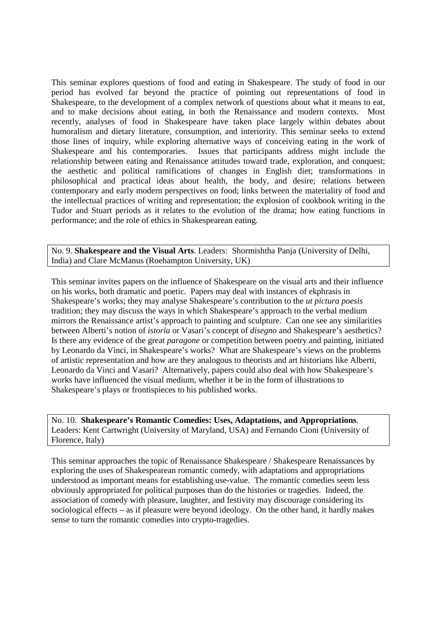This seminar explores questions of food and eating in Shakespeare. The study of food in our period has evolved far beyond the practice of pointing out representations of food in Shakespeare, to the development of a complex network of questions about what it means to eat, and to make decisions about eating, in both the Renaissance and modern contexts. Most recently, analyses of food in Shakespeare have taken place largely within debates about humoralism and dietary literature, consumption, and interiority. This seminar seeks to extend those lines of inquiry, while exploring alternative ways of conceiving eating in the work of Shakespeare and his contemporaries. Issues that participants address might include the relationship between eating and Renaissance attitudes toward trade, exploration, and conquest; the aesthetic and political ramifications of changes in English diet; transformations in philosophical and practical ideas about health, the body, and desire; relations between contemporary and early modern perspectives on food; links between the materiality of food and the intellectual practices of writing and representation; the explosion of cookbook writing in the Tudor and Stuart periods as it relates to the evolution of the drama; how eating functions in performance; and the role of ethics in Shakespearean eating.

No. 9. **Shakespeare and the Visual Arts**. Leaders: Shormishtha Panja (University of Delhi, India) and Clare McManus (Roehampton University, UK)

This seminar invites papers on the influence of Shakespeare on the visual arts and their influence on his works, both dramatic and poetic. Papers may deal with instances of ekphrasis in Shakespeare's works; they may analyse Shakespeare's contribution to the *ut pictura poesis*  tradition; they may discuss the ways in which Shakespeare's approach to the verbal medium mirrors the Renaissance artist's approach to painting and sculpture. Can one see any similarities between Alberti's notion of *istoria* or Vasari's concept of *disegno* and Shakespeare's aesthetics? Is there any evidence of the great *paragone* or competition between poetry and painting, initiated by Leonardo da Vinci, in Shakespeare's works? What are Shakespeare's views on the problems of artistic representation and how are they analogous to theorists and art historians like Alberti, Leonardo da Vinci and Vasari? Alternatively, papers could also deal with how Shakespeare's works have influenced the visual medium, whether it be in the form of illustrations to Shakespeare's plays or frontispieces to his published works.

No. 10. **Shakespeare's Romantic Comedies: Uses, Adaptations, and Appropriations**. Leaders: Kent Cartwright (University of Maryland, USA) and Fernando Cioni (University of Florence, Italy)

This seminar approaches the topic of Renaissance Shakespeare / Shakespeare Renaissances by exploring the uses of Shakespearean romantic comedy, with adaptations and appropriations understood as important means for establishing use-value. The romantic comedies seem less obviously appropriated for political purposes than do the histories or tragedies. Indeed, the association of comedy with pleasure, laughter, and festivity may discourage considering its sociological effects – as if pleasure were beyond ideology. On the other hand, it hardly makes sense to turn the romantic comedies into crypto-tragedies.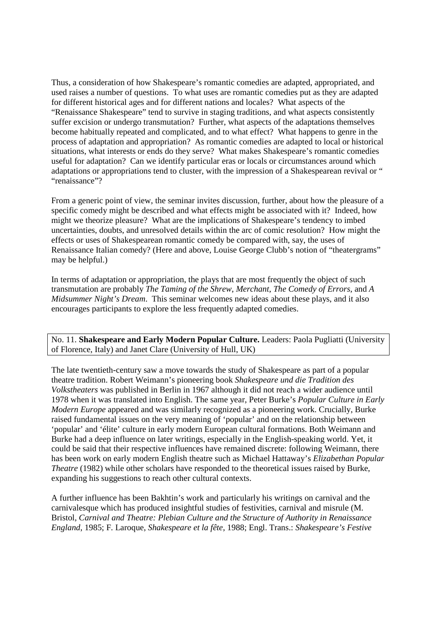Thus, a consideration of how Shakespeare's romantic comedies are adapted, appropriated, and used raises a number of questions. To what uses are romantic comedies put as they are adapted for different historical ages and for different nations and locales? What aspects of the "Renaissance Shakespeare" tend to survive in staging traditions, and what aspects consistently suffer excision or undergo transmutation? Further, what aspects of the adaptations themselves become habitually repeated and complicated, and to what effect? What happens to genre in the process of adaptation and appropriation? As romantic comedies are adapted to local or historical situations, what interests or ends do they serve? What makes Shakespeare's romantic comedies useful for adaptation? Can we identify particular eras or locals or circumstances around which adaptations or appropriations tend to cluster, with the impression of a Shakespearean revival or " "renaissance"?

From a generic point of view, the seminar invites discussion, further, about how the pleasure of a specific comedy might be described and what effects might be associated with it? Indeed, how might we theorize pleasure? What are the implications of Shakespeare's tendency to imbed uncertainties, doubts, and unresolved details within the arc of comic resolution? How might the effects or uses of Shakespearean romantic comedy be compared with, say, the uses of Renaissance Italian comedy? (Here and above, Louise George Clubb's notion of "theatergrams" may be helpful.)

In terms of adaptation or appropriation, the plays that are most frequently the object of such transmutation are probably *The Taming of the Shrew*, *Merchant*, *The Comedy of Errors*, and *A Midsummer Night's Dream*. This seminar welcomes new ideas about these plays, and it also encourages participants to explore the less frequently adapted comedies.

No. 11. **Shakespeare and Early Modern Popular Culture.** Leaders: Paola Pugliatti (University of Florence, Italy) and Janet Clare (University of Hull, UK)

The late twentieth-century saw a move towards the study of Shakespeare as part of a popular theatre tradition. Robert Weimann's pioneering book *Shakespeare und die Tradition des Volkstheaters* was published in Berlin in 1967 although it did not reach a wider audience until 1978 when it was translated into English. The same year, Peter Burke's *Popular Culture in Early Modern Europe* appeared and was similarly recognized as a pioneering work. Crucially, Burke raised fundamental issues on the very meaning of 'popular' and on the relationship between 'popular' and 'élite' culture in early modern European cultural formations. Both Weimann and Burke had a deep influence on later writings, especially in the English-speaking world. Yet, it could be said that their respective influences have remained discrete: following Weimann, there has been work on early modern English theatre such as Michael Hattaway's *Elizabethan Popular Theatre* (1982) while other scholars have responded to the theoretical issues raised by Burke, expanding his suggestions to reach other cultural contexts.

A further influence has been Bakhtin's work and particularly his writings on carnival and the carnivalesque which has produced insightful studies of festivities, carnival and misrule (M. Bristol, *Carnival and Theatre: Plebian Culture and the Structure of Authority in Renaissance England*, 1985; F. Laroque, *Shakespeare et la fête*, 1988; Engl. Trans.: *Shakespeare's Festive*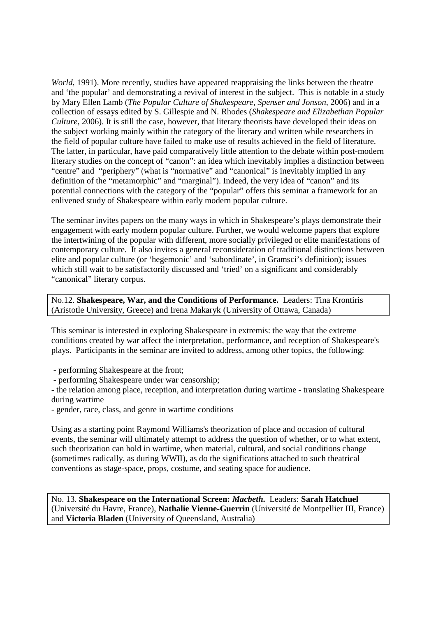*World,* 1991). More recently, studies have appeared reappraising the links between the theatre and 'the popular' and demonstrating a revival of interest in the subject. This is notable in a study by Mary Ellen Lamb (*The Popular Culture of Shakespeare, Spenser and Jonson*, 2006) and in a collection of essays edited by S. Gillespie and N. Rhodes (*Shakespeare and Elizabethan Popular Culture*, 2006). It is still the case, however, that literary theorists have developed their ideas on the subject working mainly within the category of the literary and written while researchers in the field of popular culture have failed to make use of results achieved in the field of literature. The latter, in particular, have paid comparatively little attention to the debate within post-modern literary studies on the concept of "canon": an idea which inevitably implies a distinction between "centre" and "periphery" (what is "normative" and "canonical" is inevitably implied in any definition of the "metamorphic" and "marginal"). Indeed, the very idea of "canon" and its potential connections with the category of the "popular" offers this seminar a framework for an enlivened study of Shakespeare within early modern popular culture.

The seminar invites papers on the many ways in which in Shakespeare's plays demonstrate their engagement with early modern popular culture. Further, we would welcome papers that explore the intertwining of the popular with different, more socially privileged or elite manifestations of contemporary culture. It also invites a general reconsideration of traditional distinctions between elite and popular culture (or 'hegemonic' and 'subordinate', in Gramsci's definition); issues which still wait to be satisfactorily discussed and 'tried' on a significant and considerably "canonical" literary corpus.

No.12. **Shakespeare, War, and the Conditions of Performance.** Leaders: Tina Krontiris (Aristotle University, Greece) and Irena Makaryk (University of Ottawa, Canada)

This seminar is interested in exploring Shakespeare in extremis: the way that the extreme conditions created by war affect the interpretation, performance, and reception of Shakespeare's plays. Participants in the seminar are invited to address, among other topics, the following:

- performing Shakespeare at the front;

- performing Shakespeare under war censorship;

- the relation among place, reception, and interpretation during wartime - translating Shakespeare during wartime

- gender, race, class, and genre in wartime conditions

Using as a starting point Raymond Williams's theorization of place and occasion of cultural events, the seminar will ultimately attempt to address the question of whether, or to what extent, such theorization can hold in wartime, when material, cultural, and social conditions change (sometimes radically, as during WWII), as do the significations attached to such theatrical conventions as stage-space, props, costume, and seating space for audience.

No. 13. **Shakespeare on the International Screen:** *Macbeth***.** Leaders: **Sarah Hatchuel** (Université du Havre, France), **Nathalie Vienne-Guerrin** (Université de Montpellier III, France) and **Victoria Bladen** (University of Queensland, Australia)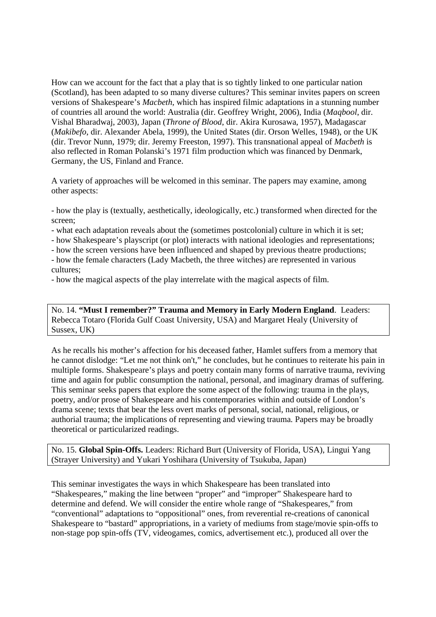How can we account for the fact that a play that is so tightly linked to one particular nation (Scotland), has been adapted to so many diverse cultures? This seminar invites papers on screen versions of Shakespeare's *Macbeth*, which has inspired filmic adaptations in a stunning number of countries all around the world: Australia (dir. Geoffrey Wright, 2006), India (*Maqbool*, dir. Vishal Bharadwaj, 2003), Japan (*Throne of Blood*, dir. Akira Kurosawa, 1957), Madagascar (*Makibefo*, dir. Alexander Abela, 1999), the United States (dir. Orson Welles, 1948), or the UK (dir. Trevor Nunn, 1979; dir. Jeremy Freeston, 1997). This transnational appeal of *Macbeth* is also reflected in Roman Polanski's 1971 film production which was financed by Denmark, Germany, the US, Finland and France.

A variety of approaches will be welcomed in this seminar. The papers may examine, among other aspects:

- how the play is (textually, aesthetically, ideologically, etc.) transformed when directed for the screen;

- what each adaptation reveals about the (sometimes postcolonial) culture in which it is set;

- how Shakespeare's playscript (or plot) interacts with national ideologies and representations;

- how the screen versions have been influenced and shaped by previous theatre productions;

- how the female characters (Lady Macbeth, the three witches) are represented in various cultures;
- how the magical aspects of the play interrelate with the magical aspects of film.

No. 14. **"Must I remember?" Trauma and Memory in Early Modern England**. Leaders: Rebecca Totaro (Florida Gulf Coast University, USA) and Margaret Healy (University of Sussex, UK)

As he recalls his mother's affection for his deceased father, Hamlet suffers from a memory that he cannot dislodge: "Let me not think on't," he concludes, but he continues to reiterate his pain in multiple forms. Shakespeare's plays and poetry contain many forms of narrative trauma, reviving time and again for public consumption the national, personal, and imaginary dramas of suffering. This seminar seeks papers that explore the some aspect of the following: trauma in the plays, poetry, and/or prose of Shakespeare and his contemporaries within and outside of London's drama scene; texts that bear the less overt marks of personal, social, national, religious, or authorial trauma; the implications of representing and viewing trauma. Papers may be broadly theoretical or particularized readings.

No. 15. **Global Spin-Offs.** Leaders: Richard Burt (University of Florida, USA), Lingui Yang (Strayer University) and Yukari Yoshihara (University of Tsukuba, Japan)

This seminar investigates the ways in which Shakespeare has been translated into "Shakespeares," making the line between "proper" and "improper" Shakespeare hard to determine and defend. We will consider the entire whole range of "Shakespeares," from "conventional" adaptations to "oppositional" ones, from reverential re-creations of canonical Shakespeare to "bastard" appropriations, in a variety of mediums from stage/movie spin-offs to non-stage pop spin-offs (TV, videogames, comics, advertisement etc.), produced all over the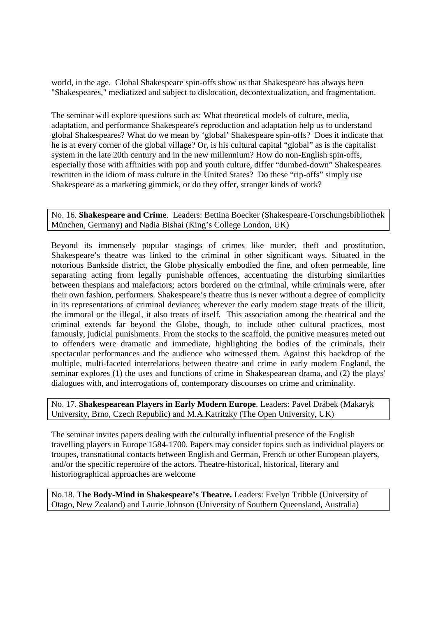world, in the age. Global Shakespeare spin-offs show us that Shakespeare has always been "Shakespeares," mediatized and subject to dislocation, decontextualization, and fragmentation.

The seminar will explore questions such as: What theoretical models of culture, media, adaptation, and performance Shakespeare's reproduction and adaptation help us to understand global Shakespeares? What do we mean by 'global' Shakespeare spin-offs? Does it indicate that he is at every corner of the global village? Or, is his cultural capital "global" as is the capitalist system in the late 20th century and in the new millennium? How do non-English spin-offs, especially those with affinities with pop and youth culture, differ "dumbed-down" Shakespeares rewritten in the idiom of mass culture in the United States? Do these "rip-offs" simply use Shakespeare as a marketing gimmick, or do they offer, stranger kinds of work?

No. 16. **Shakespeare and Crime**. Leaders: Bettina Boecker (Shakespeare-Forschungsbibliothek München, Germany) and Nadia Bishai (King's College London, UK)

Beyond its immensely popular stagings of crimes like murder, theft and prostitution, Shakespeare's theatre was linked to the criminal in other significant ways. Situated in the notorious Bankside district, the Globe physically embodied the fine, and often permeable, line separating acting from legally punishable offences, accentuating the disturbing similarities between thespians and malefactors; actors bordered on the criminal, while criminals were, after their own fashion, performers. Shakespeare's theatre thus is never without a degree of complicity in its representations of criminal deviance; wherever the early modern stage treats of the illicit, the immoral or the illegal, it also treats of itself. This association among the theatrical and the criminal extends far beyond the Globe, though, to include other cultural practices, most famously, judicial punishments. From the stocks to the scaffold, the punitive measures meted out to offenders were dramatic and immediate, highlighting the bodies of the criminals, their spectacular performances and the audience who witnessed them. Against this backdrop of the multiple, multi-faceted interrelations between theatre and crime in early modern England, the seminar explores (1) the uses and functions of crime in Shakespearean drama, and (2) the plays' dialogues with, and interrogations of, contemporary discourses on crime and criminality.

No. 17. **Shakespearean Players in Early Modern Europe**. Leaders: Pavel Drábek (Makaryk University, Brno, Czech Republic) and M.A.Katritzky (The Open University, UK)

The seminar invites papers dealing with the culturally influential presence of the English travelling players in Europe 1584-1700. Papers may consider topics such as individual players or troupes, transnational contacts between English and German, French or other European players, and/or the specific repertoire of the actors. Theatre-historical, historical, literary and historiographical approaches are welcome

No.18. **The Body-Mind in Shakespeare's Theatre.** Leaders: Evelyn Tribble (University of Otago, New Zealand) and Laurie Johnson (University of Southern Queensland, Australia)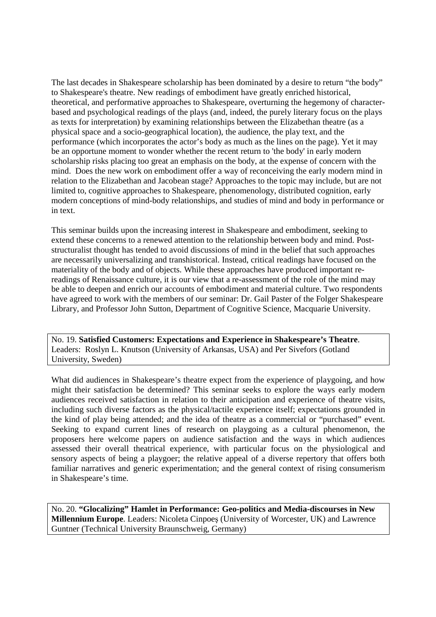The last decades in Shakespeare scholarship has been dominated by a desire to return "the body" to Shakespeare's theatre. New readings of embodiment have greatly enriched historical, theoretical, and performative approaches to Shakespeare, overturning the hegemony of characterbased and psychological readings of the plays (and, indeed, the purely literary focus on the plays as texts for interpretation) by examining relationships between the Elizabethan theatre (as a physical space and a socio-geographical location), the audience, the play text, and the performance (which incorporates the actor's body as much as the lines on the page). Yet it may be an opportune moment to wonder whether the recent return to 'the body' in early modern scholarship risks placing too great an emphasis on the body, at the expense of concern with the mind. Does the new work on embodiment offer a way of reconceiving the early modern mind in relation to the Elizabethan and Jacobean stage? Approaches to the topic may include, but are not limited to, cognitive approaches to Shakespeare, phenomenology, distributed cognition, early modern conceptions of mind-body relationships, and studies of mind and body in performance or in text.

This seminar builds upon the increasing interest in Shakespeare and embodiment, seeking to extend these concerns to a renewed attention to the relationship between body and mind. Poststructuralist thought has tended to avoid discussions of mind in the belief that such approaches are necessarily universalizing and transhistorical. Instead, critical readings have focused on the materiality of the body and of objects. While these approaches have produced important rereadings of Renaissance culture, it is our view that a re-assessment of the role of the mind may be able to deepen and enrich our accounts of embodiment and material culture. Two respondents have agreed to work with the members of our seminar: Dr. Gail Paster of the Folger Shakespeare Library, and Professor John Sutton, Department of Cognitive Science, Macquarie University.

No. 19. **Satisfied Customers: Expectations and Experience in Shakespeare's Theatre**. Leaders: Roslyn L. Knutson (University of Arkansas, USA) and Per Sivefors (Gotland University, Sweden)

What did audiences in Shakespeare's theatre expect from the experience of playgoing, and how might their satisfaction be determined? This seminar seeks to explore the ways early modern audiences received satisfaction in relation to their anticipation and experience of theatre visits, including such diverse factors as the physical/tactile experience itself; expectations grounded in the kind of play being attended; and the idea of theatre as a commercial or "purchased" event. Seeking to expand current lines of research on playgoing as a cultural phenomenon, the proposers here welcome papers on audience satisfaction and the ways in which audiences assessed their overall theatrical experience, with particular focus on the physiological and sensory aspects of being a playgoer; the relative appeal of a diverse repertory that offers both familiar narratives and generic experimentation; and the general context of rising consumerism in Shakespeare's time.

No. 20. **"Glocalizing" Hamlet in Performance: Geo-politics and Media-discourses in New Millennium Europe**. Leaders: Nicoleta Cinpoeş (University of Worcester, UK) and Lawrence Guntner (Technical University Braunschweig, Germany)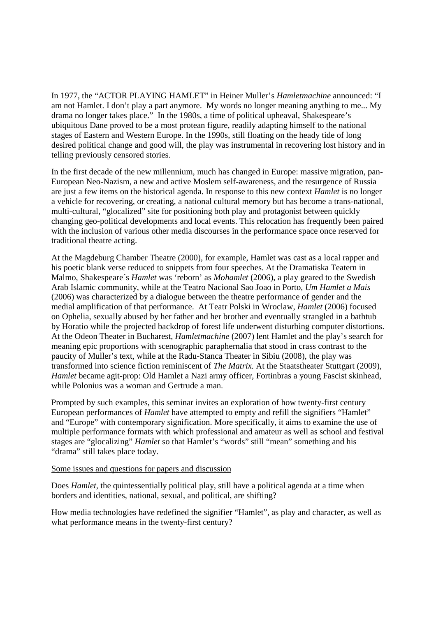In 1977, the "ACTOR PLAYING HAMLET" in Heiner Muller's *Hamletmachine* announced: "I am not Hamlet. I don't play a part anymore. My words no longer meaning anything to me... My drama no longer takes place." In the 1980s, a time of political upheaval, Shakespeare's ubiquitous Dane proved to be a most protean figure, readily adapting himself to the national stages of Eastern and Western Europe. In the 1990s, still floating on the heady tide of long desired political change and good will, the play was instrumental in recovering lost history and in telling previously censored stories.

In the first decade of the new millennium, much has changed in Europe: massive migration, pan-European Neo-Nazism, a new and active Moslem self-awareness, and the resurgence of Russia are just a few items on the historical agenda. In response to this new context *Hamlet* is no longer a vehicle for recovering, or creating, a national cultural memory but has become a trans-national, multi-cultural, "glocalized" site for positioning both play and protagonist between quickly changing geo-political developments and local events. This relocation has frequently been paired with the inclusion of various other media discourses in the performance space once reserved for traditional theatre acting.

At the Magdeburg Chamber Theatre (2000), for example, Hamlet was cast as a local rapper and his poetic blank verse reduced to snippets from four speeches. At the Dramatiska Teatern in Malmo, Shakespeare´s *Hamlet* was 'reborn' as *Mohamlet* (2006), a play geared to the Swedish Arab Islamic community, while at the Teatro Nacional Sao Joao in Porto, *Um Hamlet a Mais* (2006) was characterized by a dialogue between the theatre performance of gender and the medial amplification of that performance. At Teatr Polski in Wroclaw, *Hamlet* (2006) focused on Ophelia, sexually abused by her father and her brother and eventually strangled in a bathtub by Horatio while the projected backdrop of forest life underwent disturbing computer distortions. At the Odeon Theater in Bucharest, *Hamletmachine* (2007) lent Hamlet and the play's search for meaning epic proportions with scenographic paraphernalia that stood in crass contrast to the paucity of Muller's text, while at the Radu-Stanca Theater in Sibiu (2008), the play was transformed into science fiction reminiscent of *The Matrix.* At the Staatstheater Stuttgart (2009), *Hamlet* became agit-prop: Old Hamlet a Nazi army officer, Fortinbras a young Fascist skinhead, while Polonius was a woman and Gertrude a man.

Prompted by such examples, this seminar invites an exploration of how twenty-first century European performances of *Hamlet* have attempted to empty and refill the signifiers "Hamlet" and "Europe" with contemporary signification. More specifically, it aims to examine the use of multiple performance formats with which professional and amateur as well as school and festival stages are "glocalizing" *Hamlet* so that Hamlet's "words" still "mean" something and his "drama" still takes place today.

#### Some issues and questions for papers and discussion

Does *Hamlet*, the quintessentially political play, still have a political agenda at a time when borders and identities, national, sexual, and political, are shifting?

How media technologies have redefined the signifier "Hamlet", as play and character, as well as what performance means in the twenty-first century?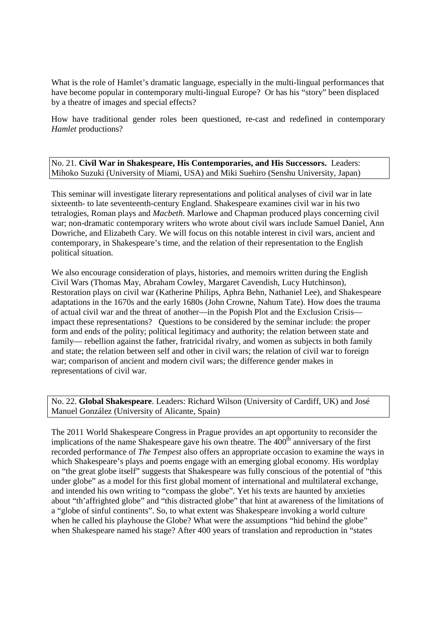What is the role of Hamlet's dramatic language, especially in the multi-lingual performances that have become popular in contemporary multi-lingual Europe? Or has his "story" been displaced by a theatre of images and special effects?

How have traditional gender roles been questioned, re-cast and redefined in contemporary *Hamlet* productions?

No. 21. **Civil War in Shakespeare, His Contemporaries, and His Successors.** Leaders: Mihoko Suzuki (University of Miami, USA) and Miki Suehiro (Senshu University, Japan)

This seminar will investigate literary representations and political analyses of civil war in late sixteenth- to late seventeenth-century England. Shakespeare examines civil war in his two tetralogies, Roman plays and *Macbeth*. Marlowe and Chapman produced plays concerning civil war; non-dramatic contemporary writers who wrote about civil wars include Samuel Daniel, Ann Dowriche, and Elizabeth Cary. We will focus on this notable interest in civil wars, ancient and contemporary, in Shakespeare's time, and the relation of their representation to the English political situation.

We also encourage consideration of plays, histories, and memoirs written during the English Civil Wars (Thomas May, Abraham Cowley, Margaret Cavendish, Lucy Hutchinson), Restoration plays on civil war (Katherine Philips, Aphra Behn, Nathaniel Lee), and Shakespeare adaptations in the 1670s and the early 1680s (John Crowne, Nahum Tate). How does the trauma of actual civil war and the threat of another—in the Popish Plot and the Exclusion Crisis impact these representations? Questions to be considered by the seminar include: the proper form and ends of the polity; political legitimacy and authority; the relation between state and family— rebellion against the father, fratricidal rivalry, and women as subjects in both family and state; the relation between self and other in civil wars; the relation of civil war to foreign war; comparison of ancient and modern civil wars; the difference gender makes in representations of civil war.

No. 22. **Global Shakespeare**. Leaders: Richard Wilson (University of Cardiff, UK) and José Manuel González (University of Alicante, Spain)

The 2011 World Shakespeare Congress in Prague provides an apt opportunity to reconsider the implications of the name Shakespeare gave his own theatre. The  $400<sup>th</sup>$  anniversary of the first recorded performance of *The Tempest* also offers an appropriate occasion to examine the ways in which Shakespeare's plays and poems engage with an emerging global economy. His wordplay on "the great globe itself" suggests that Shakespeare was fully conscious of the potential of "this under globe" as a model for this first global moment of international and multilateral exchange, and intended his own writing to "compass the globe". Yet his texts are haunted by anxieties about "th'affrighted globe" and "this distracted globe" that hint at awareness of the limitations of a "globe of sinful continents". So, to what extent was Shakespeare invoking a world culture when he called his playhouse the Globe? What were the assumptions "hid behind the globe" when Shakespeare named his stage? After 400 years of translation and reproduction in "states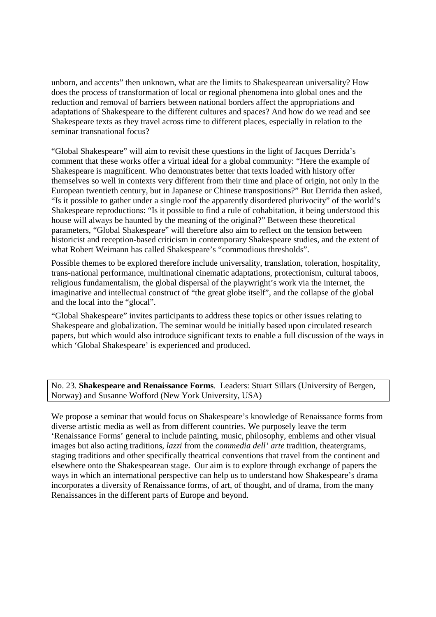unborn, and accents" then unknown, what are the limits to Shakespearean universality? How does the process of transformation of local or regional phenomena into global ones and the reduction and removal of barriers between national borders affect the appropriations and adaptations of Shakespeare to the different cultures and spaces? And how do we read and see Shakespeare texts as they travel across time to different places, especially in relation to the seminar transnational focus?

"Global Shakespeare" will aim to revisit these questions in the light of Jacques Derrida's comment that these works offer a virtual ideal for a global community: "Here the example of Shakespeare is magnificent. Who demonstrates better that texts loaded with history offer themselves so well in contexts very different from their time and place of origin, not only in the European twentieth century, but in Japanese or Chinese transpositions?" But Derrida then asked, "Is it possible to gather under a single roof the apparently disordered plurivocity" of the world's Shakespeare reproductions: "Is it possible to find a rule of cohabitation, it being understood this house will always be haunted by the meaning of the original?" Between these theoretical parameters, "Global Shakespeare" will therefore also aim to reflect on the tension between historicist and reception-based criticism in contemporary Shakespeare studies, and the extent of what Robert Weimann has called Shakespeare's "commodious thresholds".

Possible themes to be explored therefore include universality, translation, toleration, hospitality, trans-national performance, multinational cinematic adaptations, protectionism, cultural taboos, religious fundamentalism, the global dispersal of the playwright's work via the internet, the imaginative and intellectual construct of "the great globe itself", and the collapse of the global and the local into the "glocal".

"Global Shakespeare" invites participants to address these topics or other issues relating to Shakespeare and globalization. The seminar would be initially based upon circulated research papers, but which would also introduce significant texts to enable a full discussion of the ways in which 'Global Shakespeare' is experienced and produced.

No. 23. **Shakespeare and Renaissance Forms**. Leaders: Stuart Sillars (University of Bergen, Norway) and Susanne Wofford (New York University, USA)

We propose a seminar that would focus on Shakespeare's knowledge of Renaissance forms from diverse artistic media as well as from different countries. We purposely leave the term 'Renaissance Forms' general to include painting, music, philosophy, emblems and other visual images but also acting traditions, *lazzi* from the *commedia dell' arte* tradition*,* theatergrams, staging traditions and other specifically theatrical conventions that travel from the continent and elsewhere onto the Shakespearean stage. Our aim is to explore through exchange of papers the ways in which an international perspective can help us to understand how Shakespeare's drama incorporates a diversity of Renaissance forms, of art, of thought, and of drama, from the many Renaissances in the different parts of Europe and beyond.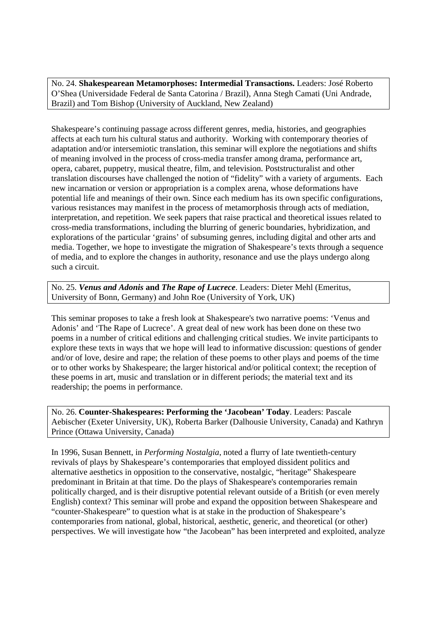No. 24. **Shakespearean Metamorphoses: Intermedial Transactions.** Leaders: José Roberto O'Shea (Universidade Federal de Santa Catorina / Brazil), Anna Stegh Camati (Uni Andrade, Brazil) and Tom Bishop (University of Auckland, New Zealand)

Shakespeare's continuing passage across different genres, media, histories, and geographies affects at each turn his cultural status and authority. Working with contemporary theories of adaptation and/or intersemiotic translation, this seminar will explore the negotiations and shifts of meaning involved in the process of cross-media transfer among drama, performance art, opera, cabaret, puppetry, musical theatre, film, and television. Poststructuralist and other translation discourses have challenged the notion of "fidelity" with a variety of arguments. Each new incarnation or version or appropriation is a complex arena, whose deformations have potential life and meanings of their own. Since each medium has its own specific configurations, various resistances may manifest in the process of metamorphosis through acts of mediation, interpretation, and repetition. We seek papers that raise practical and theoretical issues related to cross-media transformations, including the blurring of generic boundaries, hybridization, and explorations of the particular 'grains' of subsuming genres, including digital and other arts and media. Together, we hope to investigate the migration of Shakespeare's texts through a sequence of media, and to explore the changes in authority, resonance and use the plays undergo along such a circuit.

No. 25. *Venus and Adonis* **and** *The Rape of Lucrece*. Leaders: Dieter Mehl (Emeritus, University of Bonn, Germany) and John Roe (University of York, UK)

This seminar proposes to take a fresh look at Shakespeare's two narrative poems: 'Venus and Adonis' and 'The Rape of Lucrece'. A great deal of new work has been done on these two poems in a number of critical editions and challenging critical studies. We invite participants to explore these texts in ways that we hope will lead to informative discussion: questions of gender and/or of love, desire and rape; the relation of these poems to other plays and poems of the time or to other works by Shakespeare; the larger historical and/or political context; the reception of these poems in art, music and translation or in different periods; the material text and its readership; the poems in performance.

No. 26. **Counter-Shakespeares: Performing the 'Jacobean' Today**. Leaders: Pascale Aebischer (Exeter University, UK), Roberta Barker (Dalhousie University, Canada) and Kathryn Prince (Ottawa University, Canada)

In 1996, Susan Bennett, in *Performing Nostalgia*, noted a flurry of late twentieth-century revivals of plays by Shakespeare's contemporaries that employed dissident politics and alternative aesthetics in opposition to the conservative, nostalgic, "heritage" Shakespeare predominant in Britain at that time. Do the plays of Shakespeare's contemporaries remain politically charged, and is their disruptive potential relevant outside of a British (or even merely English) context? This seminar will probe and expand the opposition between Shakespeare and "counter-Shakespeare" to question what is at stake in the production of Shakespeare's contemporaries from national, global, historical, aesthetic, generic, and theoretical (or other) perspectives. We will investigate how "the Jacobean" has been interpreted and exploited, analyze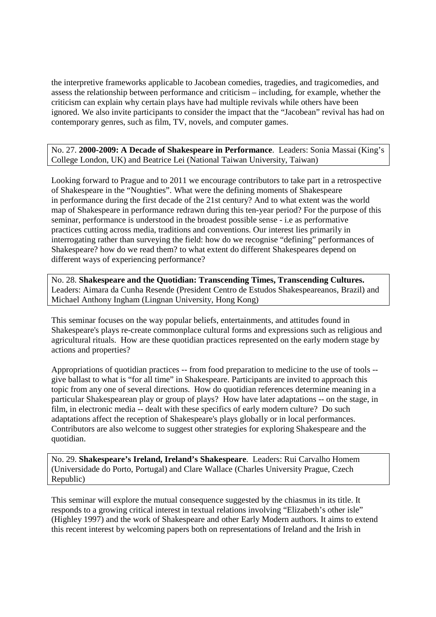the interpretive frameworks applicable to Jacobean comedies, tragedies, and tragicomedies, and assess the relationship between performance and criticism – including, for example, whether the criticism can explain why certain plays have had multiple revivals while others have been ignored. We also invite participants to consider the impact that the "Jacobean" revival has had on contemporary genres, such as film, TV, novels, and computer games.

No. 27. **2000-2009: A Decade of Shakespeare in Performance**. Leaders: Sonia Massai (King's College London, UK) and Beatrice Lei (National Taiwan University, Taiwan)

Looking forward to Prague and to 2011 we encourage contributors to take part in a retrospective of Shakespeare in the "Noughties". What were the defining moments of Shakespeare in performance during the first decade of the 21st century? And to what extent was the world map of Shakespeare in performance redrawn during this ten-year period? For the purpose of this seminar, performance is understood in the broadest possible sense - i.e as performative practices cutting across media, traditions and conventions. Our interest lies primarily in interrogating rather than surveying the field: how do we recognise "defining" performances of Shakespeare? how do we read them? to what extent do different Shakespeares depend on different ways of experiencing performance?

No. 28. **Shakespeare and the Quotidian: Transcending Times, Transcending Cultures.** Leaders: Aimara da Cunha Resende (President Centro de Estudos Shakespeareanos, Brazil) and Michael Anthony Ingham (Lingnan University, Hong Kong)

This seminar focuses on the way popular beliefs, entertainments, and attitudes found in Shakespeare's plays re-create commonplace cultural forms and expressions such as religious and agricultural rituals. How are these quotidian practices represented on the early modern stage by actions and properties?

Appropriations of quotidian practices -- from food preparation to medicine to the use of tools - give ballast to what is "for all time" in Shakespeare. Participants are invited to approach this topic from any one of several directions. How do quotidian references determine meaning in a particular Shakespearean play or group of plays? How have later adaptations -- on the stage, in film, in electronic media -- dealt with these specifics of early modern culture? Do such adaptations affect the reception of Shakespeare's plays globally or in local performances. Contributors are also welcome to suggest other strategies for exploring Shakespeare and the quotidian.

No. 29. **Shakespeare's Ireland, Ireland's Shakespeare**. Leaders: Rui Carvalho Homem (Universidade do Porto, Portugal) and Clare Wallace (Charles University Prague, Czech Republic)

This seminar will explore the mutual consequence suggested by the chiasmus in its title. It responds to a growing critical interest in textual relations involving "Elizabeth's other isle" (Highley 1997) and the work of Shakespeare and other Early Modern authors. It aims to extend this recent interest by welcoming papers both on representations of Ireland and the Irish in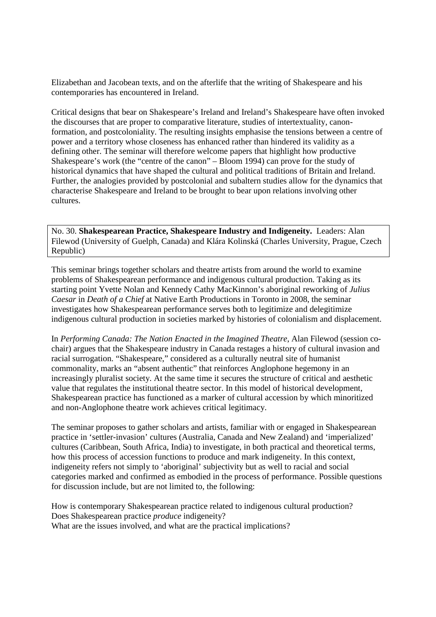Elizabethan and Jacobean texts, and on the afterlife that the writing of Shakespeare and his contemporaries has encountered in Ireland.

Critical designs that bear on Shakespeare's Ireland and Ireland's Shakespeare have often invoked the discourses that are proper to comparative literature, studies of intertextuality, canonformation, and postcoloniality. The resulting insights emphasise the tensions between a centre of power and a territory whose closeness has enhanced rather than hindered its validity as a defining other. The seminar will therefore welcome papers that highlight how productive Shakespeare's work (the "centre of the canon" – Bloom 1994) can prove for the study of historical dynamics that have shaped the cultural and political traditions of Britain and Ireland. Further, the analogies provided by postcolonial and subaltern studies allow for the dynamics that characterise Shakespeare and Ireland to be brought to bear upon relations involving other cultures.

No. 30. **Shakespearean Practice, Shakespeare Industry and Indigeneity.** Leaders: Alan Filewod (University of Guelph, Canada) and Klára Kolinská (Charles University, Prague, Czech Republic)

This seminar brings together scholars and theatre artists from around the world to examine problems of Shakespearean performance and indigenous cultural production. Taking as its starting point Yvette Nolan and Kennedy Cathy MacKinnon's aboriginal reworking of *Julius Caesar* in *Death of a Chief* at Native Earth Productions in Toronto in 2008, the seminar investigates how Shakespearean performance serves both to legitimize and delegitimize indigenous cultural production in societies marked by histories of colonialism and displacement.

In *Performing Canada: The Nation Enacted in the Imagined Theatre*, Alan Filewod (session cochair) argues that the Shakespeare industry in Canada restages a history of cultural invasion and racial surrogation. "Shakespeare," considered as a culturally neutral site of humanist commonality, marks an "absent authentic" that reinforces Anglophone hegemony in an increasingly pluralist society. At the same time it secures the structure of critical and aesthetic value that regulates the institutional theatre sector. In this model of historical development, Shakespearean practice has functioned as a marker of cultural accession by which minoritized and non-Anglophone theatre work achieves critical legitimacy.

The seminar proposes to gather scholars and artists, familiar with or engaged in Shakespearean practice in 'settler-invasion' cultures (Australia, Canada and New Zealand) and 'imperialized' cultures (Caribbean, South Africa, India) to investigate, in both practical and theoretical terms, how this process of accession functions to produce and mark indigeneity. In this context, indigeneity refers not simply to 'aboriginal' subjectivity but as well to racial and social categories marked and confirmed as embodied in the process of performance. Possible questions for discussion include, but are not limited to, the following:

How is contemporary Shakespearean practice related to indigenous cultural production? Does Shakespearean practice *produce* indigeneity? What are the issues involved, and what are the practical implications?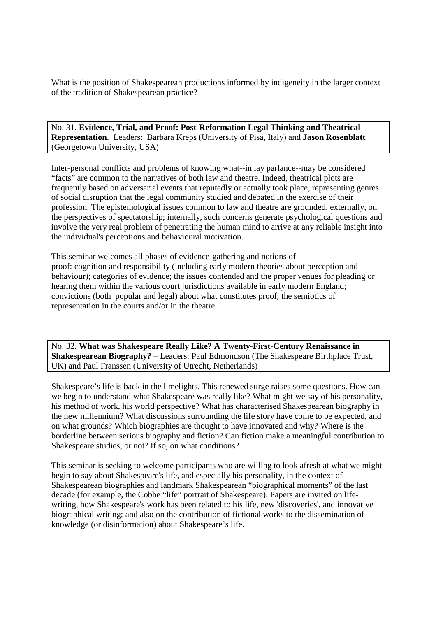What is the position of Shakespearean productions informed by indigeneity in the larger context of the tradition of Shakespearean practice?

No. 31. **Evidence, Trial, and Proof: Post-Reformation Legal Thinking and Theatrical Representation**. Leaders: Barbara Kreps (University of Pisa, Italy) and **Jason Rosenblatt** (Georgetown University, USA)

Inter-personal conflicts and problems of knowing what--in lay parlance--may be considered "facts" are common to the narratives of both law and theatre. Indeed, theatrical plots are frequently based on adversarial events that reputedly or actually took place, representing genres of social disruption that the legal community studied and debated in the exercise of their profession. The epistemological issues common to law and theatre are grounded, externally, on the perspectives of spectatorship; internally, such concerns generate psychological questions and involve the very real problem of penetrating the human mind to arrive at any reliable insight into the individual's perceptions and behavioural motivation.

This seminar welcomes all phases of evidence-gathering and notions of proof: cognition and responsibility (including early modern theories about perception and behaviour); categories of evidence; the issues contended and the proper venues for pleading or hearing them within the various court jurisdictions available in early modern England; convictions (both popular and legal) about what constitutes proof; the semiotics of representation in the courts and/or in the theatre.

No. 32. **What was Shakespeare Really Like? A Twenty-First-Century Renaissance in Shakespearean Biography?** – Leaders: Paul Edmondson (The Shakespeare Birthplace Trust, UK) and Paul Franssen (University of Utrecht, Netherlands)

Shakespeare's life is back in the limelights. This renewed surge raises some questions. How can we begin to understand what Shakespeare was really like? What might we say of his personality, his method of work, his world perspective? What has characterised Shakespearean biography in the new millennium? What discussions surrounding the life story have come to be expected, and on what grounds? Which biographies are thought to have innovated and why? Where is the borderline between serious biography and fiction? Can fiction make a meaningful contribution to Shakespeare studies, or not? If so, on what conditions?

This seminar is seeking to welcome participants who are willing to look afresh at what we might begin to say about Shakespeare's life, and especially his personality, in the context of Shakespearean biographies and landmark Shakespearean "biographical moments" of the last decade (for example, the Cobbe "life" portrait of Shakespeare). Papers are invited on lifewriting, how Shakespeare's work has been related to his life, new 'discoveries', and innovative biographical writing; and also on the contribution of fictional works to the dissemination of knowledge (or disinformation) about Shakespeare's life.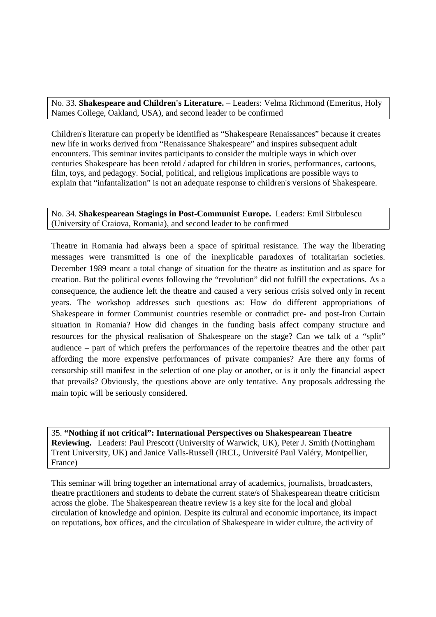No. 33. **Shakespeare and Children's Literature.** – Leaders: Velma Richmond (Emeritus, Holy Names College, Oakland, USA), and second leader to be confirmed

Children's literature can properly be identified as "Shakespeare Renaissances" because it creates new life in works derived from "Renaissance Shakespeare" and inspires subsequent adult encounters. This seminar invites participants to consider the multiple ways in which over centuries Shakespeare has been retold / adapted for children in stories, performances, cartoons, film, toys, and pedagogy. Social, political, and religious implications are possible ways to explain that "infantalization" is not an adequate response to children's versions of Shakespeare.

#### No. 34. **Shakespearean Stagings in Post-Communist Europe.** Leaders: Emil Sirbulescu (University of Craiova, Romania), and second leader to be confirmed

Theatre in Romania had always been a space of spiritual resistance. The way the liberating messages were transmitted is one of the inexplicable paradoxes of totalitarian societies. December 1989 meant a total change of situation for the theatre as institution and as space for creation. But the political events following the "revolution" did not fulfill the expectations. As a consequence, the audience left the theatre and caused a very serious crisis solved only in recent years. The workshop addresses such questions as: How do different appropriations of Shakespeare in former Communist countries resemble or contradict pre- and post-Iron Curtain situation in Romania? How did changes in the funding basis affect company structure and resources for the physical realisation of Shakespeare on the stage? Can we talk of a "split" audience – part of which prefers the performances of the repertoire theatres and the other part affording the more expensive performances of private companies? Are there any forms of censorship still manifest in the selection of one play or another, or is it only the financial aspect that prevails? Obviously, the questions above are only tentative. Any proposals addressing the main topic will be seriously considered.

35. **"Nothing if not critical": International Perspectives on Shakespearean Theatre Reviewing.** Leaders: Paul Prescott (University of Warwick, UK), Peter J. Smith (Nottingham Trent University, UK) and Janice Valls-Russell (IRCL, Université Paul Valéry, Montpellier, France)

This seminar will bring together an international array of academics, journalists, broadcasters, theatre practitioners and students to debate the current state/s of Shakespearean theatre criticism across the globe. The Shakespearean theatre review is a key site for the local and global circulation of knowledge and opinion. Despite its cultural and economic importance, its impact on reputations, box offices, and the circulation of Shakespeare in wider culture, the activity of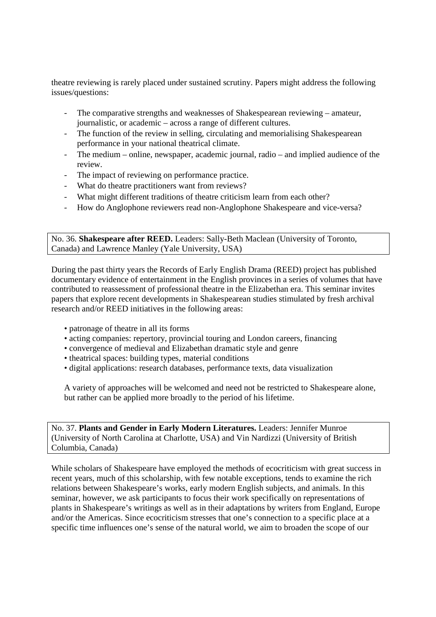theatre reviewing is rarely placed under sustained scrutiny. Papers might address the following issues/questions:

- The comparative strengths and weaknesses of Shakespearean reviewing amateur, journalistic, or academic – across a range of different cultures.
- The function of the review in selling, circulating and memorialising Shakespearean performance in your national theatrical climate.
- The medium online, newspaper, academic journal, radio and implied audience of the review.
- The impact of reviewing on performance practice.
- What do theatre practitioners want from reviews?
- What might different traditions of theatre criticism learn from each other?
- How do Anglophone reviewers read non-Anglophone Shakespeare and vice-versa?

No. 36. **Shakespeare after REED.** Leaders: Sally-Beth Maclean (University of Toronto, Canada) and Lawrence Manley (Yale University, USA)

During the past thirty years the Records of Early English Drama (REED) project has published documentary evidence of entertainment in the English provinces in a series of volumes that have contributed to reassessment of professional theatre in the Elizabethan era. This seminar invites papers that explore recent developments in Shakespearean studies stimulated by fresh archival research and/or REED initiatives in the following areas:

- patronage of theatre in all its forms
- acting companies: repertory, provincial touring and London careers, financing
- convergence of medieval and Elizabethan dramatic style and genre
- theatrical spaces: building types, material conditions
- digital applications: research databases, performance texts, data visualization

A variety of approaches will be welcomed and need not be restricted to Shakespeare alone, but rather can be applied more broadly to the period of his lifetime.

No. 37. **Plants and Gender in Early Modern Literatures.** Leaders: Jennifer Munroe (University of North Carolina at Charlotte, USA) and Vin Nardizzi (University of British Columbia, Canada)

While scholars of Shakespeare have employed the methods of ecocriticism with great success in recent years, much of this scholarship, with few notable exceptions, tends to examine the rich relations between Shakespeare's works, early modern English subjects, and animals. In this seminar, however, we ask participants to focus their work specifically on representations of plants in Shakespeare's writings as well as in their adaptations by writers from England, Europe and/or the Americas. Since ecocriticism stresses that one's connection to a specific place at a specific time influences one's sense of the natural world, we aim to broaden the scope of our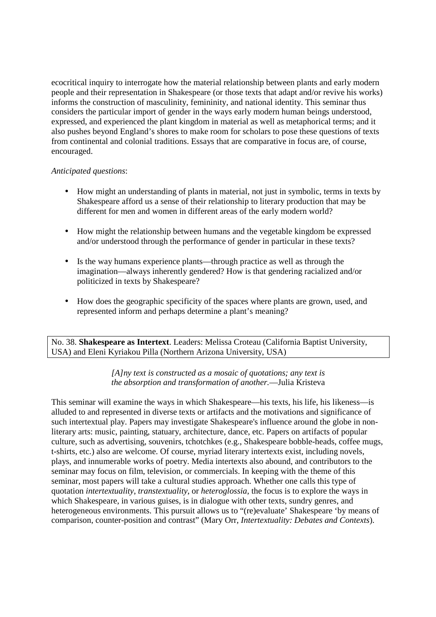ecocritical inquiry to interrogate how the material relationship between plants and early modern people and their representation in Shakespeare (or those texts that adapt and/or revive his works) informs the construction of masculinity, femininity, and national identity. This seminar thus considers the particular import of gender in the ways early modern human beings understood, expressed, and experienced the plant kingdom in material as well as metaphorical terms; and it also pushes beyond England's shores to make room for scholars to pose these questions of texts from continental and colonial traditions. Essays that are comparative in focus are, of course, encouraged.

#### *Anticipated questions*:

- How might an understanding of plants in material, not just in symbolic, terms in texts by Shakespeare afford us a sense of their relationship to literary production that may be different for men and women in different areas of the early modern world?
- How might the relationship between humans and the vegetable kingdom be expressed and/or understood through the performance of gender in particular in these texts?
- Is the way humans experience plants—through practice as well as through the imagination—always inherently gendered? How is that gendering racialized and/or politicized in texts by Shakespeare?
- How does the geographic specificity of the spaces where plants are grown, used, and represented inform and perhaps determine a plant's meaning?

No. 38. **Shakespeare as Intertext**. Leaders: Melissa Croteau (California Baptist University, USA) and Eleni Kyriakou Pilla (Northern Arizona University, USA)

#### *[A]ny text is constructed as a mosaic of quotations; any text is the absorption and transformation of another.*—Julia Kristeva

This seminar will examine the ways in which Shakespeare—his texts, his life, his likeness—is alluded to and represented in diverse texts or artifacts and the motivations and significance of such intertextual play. Papers may investigate Shakespeare's influence around the globe in nonliterary arts: music, painting, statuary, architecture, dance, etc. Papers on artifacts of popular culture, such as advertising, souvenirs, tchotchkes (e.g., Shakespeare bobble-heads, coffee mugs, t-shirts, etc.) also are welcome. Of course, myriad literary intertexts exist, including novels, plays, and innumerable works of poetry. Media intertexts also abound, and contributors to the seminar may focus on film, television, or commercials. In keeping with the theme of this seminar, most papers will take a cultural studies approach. Whether one calls this type of quotation *intertextuality*, *transtextuality*, or *heteroglossia*, the focus is to explore the ways in which Shakespeare, in various guises, is in dialogue with other texts, sundry genres, and heterogeneous environments. This pursuit allows us to "(re)evaluate' Shakespeare 'by means of comparison, counter-position and contrast" (Mary Orr, *Intertextuality: Debates and Contexts*).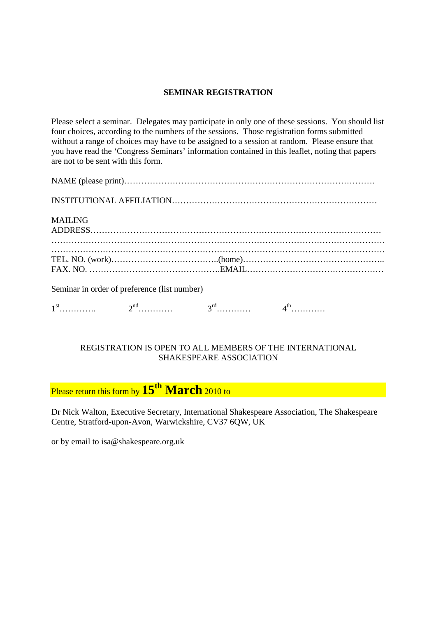#### **SEMINAR REGISTRATION**

Please select a seminar. Delegates may participate in only one of these sessions. You should list four choices, according to the numbers of the sessions. Those registration forms submitted without a range of choices may have to be assigned to a session at random. Please ensure that you have read the 'Congress Seminars' information contained in this leaflet, noting that papers are not to be sent with this form.

| <b>MAILING</b>                               |  |  |  |
|----------------------------------------------|--|--|--|
|                                              |  |  |  |
| Seminar in order of preference (list number) |  |  |  |
|                                              |  |  |  |

#### REGISTRATION IS OPEN TO ALL MEMBERS OF THE INTERNATIONAL SHAKESPEARE ASSOCIATION

Please return this form by **15th March** 2010 to

Dr Nick Walton, Executive Secretary, International Shakespeare Association, The Shakespeare Centre, Stratford-upon-Avon, Warwickshire, CV37 6QW, UK

or by email to isa@shakespeare.org.uk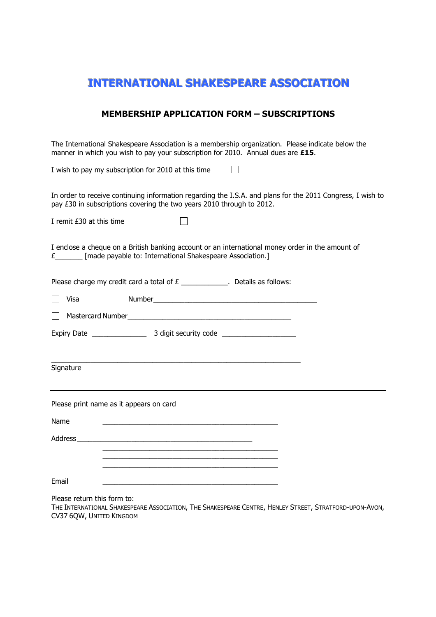### INTERNATIONAL SHAKESPEARE ASSOCIATION

#### MEMBERSHIP APPLICATION FORM – SUBSCRIPTIONS

The International Shakespeare Association is a membership organization. Please indicate below the manner in which you wish to pay your subscription for 2010. Annual dues are £15. I wish to pay my subscription for 2010 at this time  $\Box$ In order to receive continuing information regarding the I.S.A. and plans for the 2011 Congress, I wish to pay £30 in subscriptions covering the two years 2010 through to 2012.  $\Box$ I remit £30 at this time I enclose a cheque on a British banking account or an international money order in the amount of £\_\_\_\_\_\_\_ [made payable to: International Shakespeare Association.] Please charge my credit card a total of  $E$  \_\_\_\_\_\_\_\_\_\_\_\_\_. Details as follows: Visa Number\_\_\_\_\_\_\_\_\_\_\_\_\_\_\_\_\_\_\_\_\_\_\_\_\_\_\_\_\_\_\_\_\_\_\_\_\_\_\_\_\_\_ Mastercard Number\_\_\_\_\_\_\_\_\_\_\_\_\_\_\_\_\_\_\_\_\_\_\_\_\_\_\_\_\_\_\_\_\_\_\_\_\_\_\_\_\_\_ Expiry Date \_\_\_\_\_\_\_\_\_\_\_\_\_\_ 3 digit security code \_\_\_\_\_\_\_\_\_\_\_\_\_\_\_\_\_\_\_ \_\_\_\_\_\_\_\_\_\_\_\_\_\_\_\_\_\_\_\_\_\_\_\_\_\_\_\_\_\_\_\_\_\_\_\_\_\_\_\_\_\_\_\_\_\_\_\_\_\_\_\_\_\_\_\_\_\_\_\_\_\_\_\_ Signature Please print name as it appears on card Name \_\_\_\_\_\_\_\_\_\_\_\_\_\_\_\_\_\_\_\_\_\_\_\_\_\_\_\_\_\_\_\_\_\_\_\_\_\_\_\_\_\_\_\_\_ Address \_\_\_\_\_\_\_\_\_\_\_\_\_\_\_\_\_\_\_\_\_\_\_\_\_\_\_\_\_\_\_\_\_\_\_\_\_\_\_\_\_\_\_\_\_  $\frac{1}{2}$  ,  $\frac{1}{2}$  ,  $\frac{1}{2}$  ,  $\frac{1}{2}$  ,  $\frac{1}{2}$  ,  $\frac{1}{2}$  ,  $\frac{1}{2}$  ,  $\frac{1}{2}$  ,  $\frac{1}{2}$  ,  $\frac{1}{2}$  ,  $\frac{1}{2}$  ,  $\frac{1}{2}$  ,  $\frac{1}{2}$  ,  $\frac{1}{2}$  ,  $\frac{1}{2}$  ,  $\frac{1}{2}$  ,  $\frac{1}{2}$  ,  $\frac{1}{2}$  ,  $\frac{1$  $\frac{1}{2}$  ,  $\frac{1}{2}$  ,  $\frac{1}{2}$  ,  $\frac{1}{2}$  ,  $\frac{1}{2}$  ,  $\frac{1}{2}$  ,  $\frac{1}{2}$  ,  $\frac{1}{2}$  ,  $\frac{1}{2}$  ,  $\frac{1}{2}$  ,  $\frac{1}{2}$  ,  $\frac{1}{2}$  ,  $\frac{1}{2}$  ,  $\frac{1}{2}$  ,  $\frac{1}{2}$  ,  $\frac{1}{2}$  ,  $\frac{1}{2}$  ,  $\frac{1}{2}$  ,  $\frac{1$ 

Email \_\_\_\_\_\_\_\_\_\_\_\_\_\_\_\_\_\_\_\_\_\_\_\_\_\_\_\_\_\_\_\_\_\_\_\_\_\_\_\_\_\_\_\_\_

 $\frac{1}{2}$  ,  $\frac{1}{2}$  ,  $\frac{1}{2}$  ,  $\frac{1}{2}$  ,  $\frac{1}{2}$  ,  $\frac{1}{2}$  ,  $\frac{1}{2}$  ,  $\frac{1}{2}$  ,  $\frac{1}{2}$  ,  $\frac{1}{2}$  ,  $\frac{1}{2}$  ,  $\frac{1}{2}$  ,  $\frac{1}{2}$  ,  $\frac{1}{2}$  ,  $\frac{1}{2}$  ,  $\frac{1}{2}$  ,  $\frac{1}{2}$  ,  $\frac{1}{2}$  ,  $\frac{1$ 

Please return this form to:

THE INTERNATIONAL SHAKESPEARE ASSOCIATION, THE SHAKESPEARE CENTRE, HENLEY STREET, STRATFORD-UPON-AVON, CV37 6QW, UNITED KINGDOM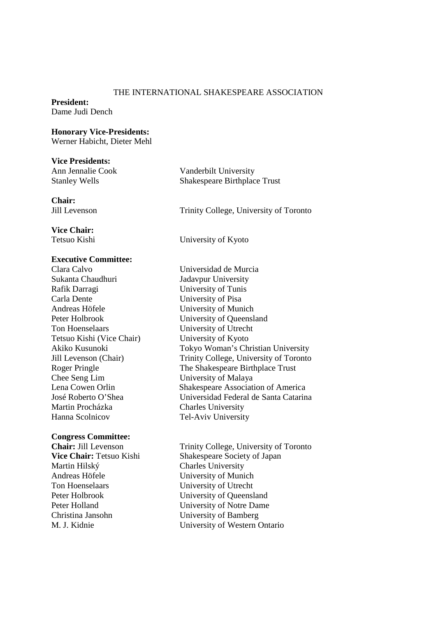#### THE INTERNATIONAL SHAKESPEARE ASSOCIATION

#### **President:**  Dame Judi Dench

#### **Honorary Vice-Presidents:**

Werner Habicht, Dieter Mehl

#### **Vice Presidents:**

**Chair:** 

Ann Jennalie Cook Vanderbilt University Stanley Wells Shakespeare Birthplace Trust

Jill Levenson Trinity College, University of Toronto

# **Vice Chair:**

Tetsuo Kishi University of Kyoto

#### **Executive Committee:**

Clara Calvo Universidad de Murcia Sukanta Chaudhuri Jadavpur University Rafik Darragi University of Tunis Carla Dente University of Pisa Andreas Höfele University of Munich Peter Holbrook University of Queensland Ton Hoenselaars University of Utrecht Tetsuo Kishi (Vice Chair) University of Kyoto Chee Seng Lim University of Malaya Martin Procházka Charles University Hanna Scolnicov Tel-Aviv University

#### **Congress Committee:**

Martin Hilský Charles University Andreas Höfele University of Munich Ton Hoenselaars University of Utrecht Christina Jansohn University of Bamberg

Akiko Kusunoki Tokyo Woman's Christian University Jill Levenson (Chair) Trinity College, University of Toronto Roger Pringle The Shakespeare Birthplace Trust Lena Cowen Orlin Shakespeare Association of America José Roberto O'Shea Universidad Federal de Santa Catarina

**Chair:** Jill Levenson Trinity College, University of Toronto<br> **Vice Chair:** Tetsuo Kishi Shakespeare Society of Japan **Shakespeare Society of Japan** Peter Holbrook University of Queensland Peter Holland University of Notre Dame M. J. Kidnie University of Western Ontario